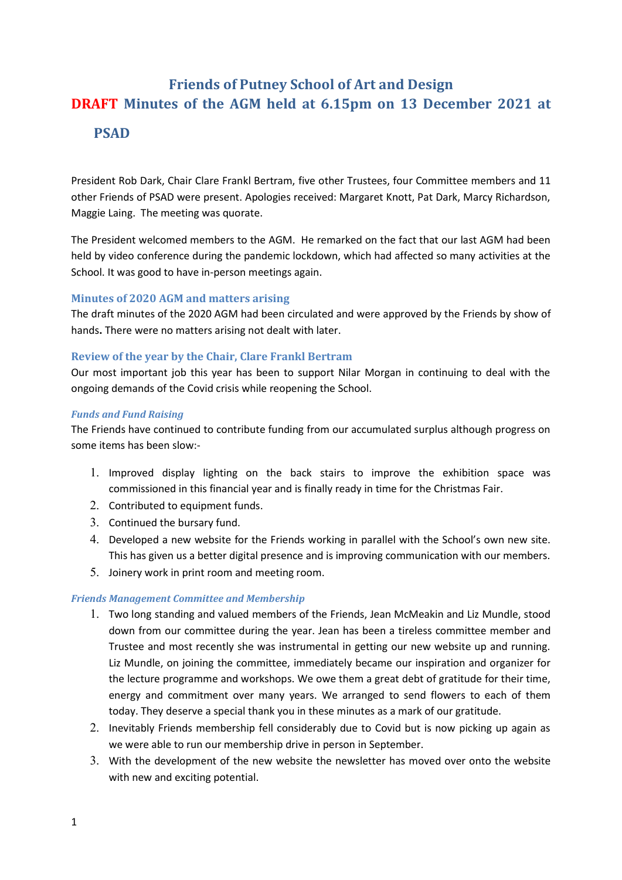# Friends of Putney School of Art and Design DRAFT Minutes of the AGM held at 6.15pm on 13 December 2021 at PSAD

President Rob Dark, Chair Clare Frankl Bertram, five other Trustees, four Committee members and 11 other Friends of PSAD were present. Apologies received: Margaret Knott, Pat Dark, Marcy Richardson, Maggie Laing. The meeting was quorate.

The President welcomed members to the AGM. He remarked on the fact that our last AGM had been held by video conference during the pandemic lockdown, which had affected so many activities at the School. It was good to have in-person meetings again.

# Minutes of 2020 AGM and matters arising

The draft minutes of the 2020 AGM had been circulated and were approved by the Friends by show of hands. There were no matters arising not dealt with later.

# Review of the year by the Chair, Clare Frankl Bertram

Our most important job this year has been to support Nilar Morgan in continuing to deal with the ongoing demands of the Covid crisis while reopening the School.

#### Funds and Fund Raising

The Friends have continued to contribute funding from our accumulated surplus although progress on some items has been slow:-

- 1. Improved display lighting on the back stairs to improve the exhibition space was commissioned in this financial year and is finally ready in time for the Christmas Fair.
- 2. Contributed to equipment funds.
- 3. Continued the bursary fund.
- 4. Developed a new website for the Friends working in parallel with the School's own new site. This has given us a better digital presence and is improving communication with our members.
- 5. Joinery work in print room and meeting room.

# Friends Management Committee and Membership

- 1. Two long standing and valued members of the Friends, Jean McMeakin and Liz Mundle, stood down from our committee during the year. Jean has been a tireless committee member and Trustee and most recently she was instrumental in getting our new website up and running. Liz Mundle, on joining the committee, immediately became our inspiration and organizer for the lecture programme and workshops. We owe them a great debt of gratitude for their time, energy and commitment over many years. We arranged to send flowers to each of them today. They deserve a special thank you in these minutes as a mark of our gratitude.
- 2. Inevitably Friends membership fell considerably due to Covid but is now picking up again as we were able to run our membership drive in person in September.
- 3. With the development of the new website the newsletter has moved over onto the website with new and exciting potential.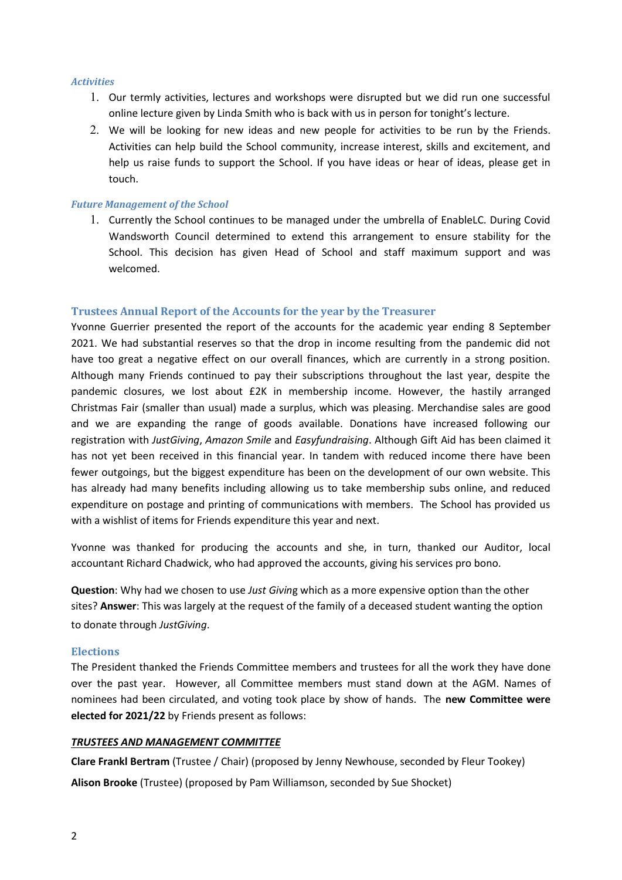#### **Activities**

- 1. Our termly activities, lectures and workshops were disrupted but we did run one successful online lecture given by Linda Smith who is back with us in person for tonight's lecture.
- 2. We will be looking for new ideas and new people for activities to be run by the Friends. Activities can help build the School community, increase interest, skills and excitement, and help us raise funds to support the School. If you have ideas or hear of ideas, please get in touch.

#### Future Management of the School

1. Currently the School continues to be managed under the umbrella of EnableLC. During Covid Wandsworth Council determined to extend this arrangement to ensure stability for the School. This decision has given Head of School and staff maximum support and was welcomed.

#### Trustees Annual Report of the Accounts for the year by the Treasurer

Yvonne Guerrier presented the report of the accounts for the academic year ending 8 September 2021. We had substantial reserves so that the drop in income resulting from the pandemic did not have too great a negative effect on our overall finances, which are currently in a strong position. Although many Friends continued to pay their subscriptions throughout the last year, despite the pandemic closures, we lost about £2K in membership income. However, the hastily arranged Christmas Fair (smaller than usual) made a surplus, which was pleasing. Merchandise sales are good and we are expanding the range of goods available. Donations have increased following our registration with JustGiving, Amazon Smile and Easyfundraising. Although Gift Aid has been claimed it has not yet been received in this financial year. In tandem with reduced income there have been fewer outgoings, but the biggest expenditure has been on the development of our own website. This has already had many benefits including allowing us to take membership subs online, and reduced expenditure on postage and printing of communications with members. The School has provided us with a wishlist of items for Friends expenditure this year and next.

Yvonne was thanked for producing the accounts and she, in turn, thanked our Auditor, local accountant Richard Chadwick, who had approved the accounts, giving his services pro bono.

Question: Why had we chosen to use Just Giving which as a more expensive option than the other sites? Answer: This was largely at the request of the family of a deceased student wanting the option to donate through JustGiving.

#### Elections

The President thanked the Friends Committee members and trustees for all the work they have done over the past year. However, all Committee members must stand down at the AGM. Names of nominees had been circulated, and voting took place by show of hands. The new Committee were elected for 2021/22 by Friends present as follows:

#### TRUSTEES AND MANAGEMENT COMMITTEE

Clare Frankl Bertram (Trustee / Chair) (proposed by Jenny Newhouse, seconded by Fleur Tookey)

Alison Brooke (Trustee) (proposed by Pam Williamson, seconded by Sue Shocket)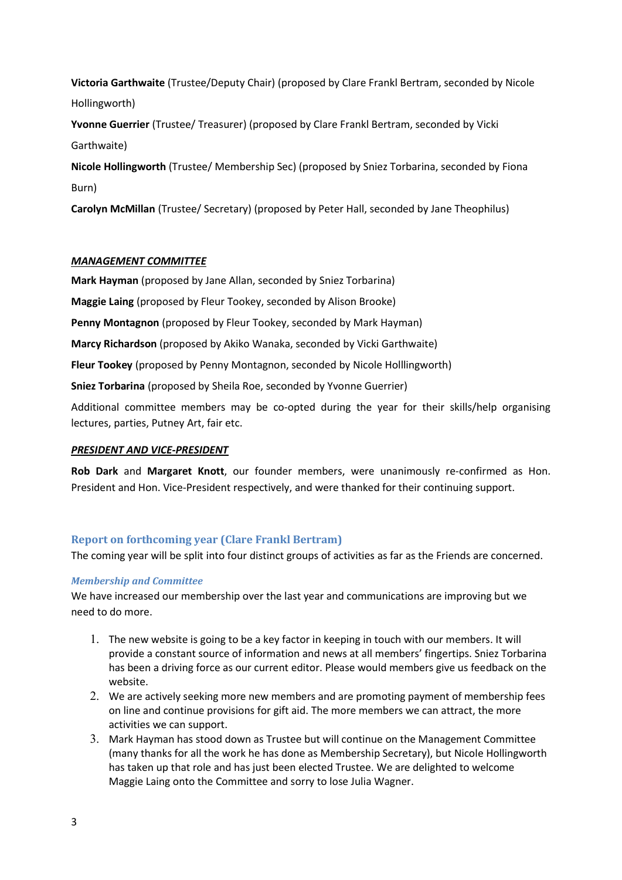Victoria Garthwaite (Trustee/Deputy Chair) (proposed by Clare Frankl Bertram, seconded by Nicole Hollingworth)

Yvonne Guerrier (Trustee/ Treasurer) (proposed by Clare Frankl Bertram, seconded by Vicki Garthwaite)

Nicole Hollingworth (Trustee/ Membership Sec) (proposed by Sniez Torbarina, seconded by Fiona Burn)

Carolyn McMillan (Trustee/ Secretary) (proposed by Peter Hall, seconded by Jane Theophilus)

# MANAGEMENT COMMITTEE

Mark Hayman (proposed by Jane Allan, seconded by Sniez Torbarina)

Maggie Laing (proposed by Fleur Tookey, seconded by Alison Brooke)

Penny Montagnon (proposed by Fleur Tookey, seconded by Mark Hayman)

Marcy Richardson (proposed by Akiko Wanaka, seconded by Vicki Garthwaite)

Fleur Tookey (proposed by Penny Montagnon, seconded by Nicole Holllingworth)

Sniez Torbarina (proposed by Sheila Roe, seconded by Yvonne Guerrier)

Additional committee members may be co-opted during the year for their skills/help organising lectures, parties, Putney Art, fair etc.

# PRESIDENT AND VICE-PRESIDENT

Rob Dark and Margaret Knott, our founder members, were unanimously re-confirmed as Hon. President and Hon. Vice-President respectively, and were thanked for their continuing support.

# Report on forthcoming year (Clare Frankl Bertram)

The coming year will be split into four distinct groups of activities as far as the Friends are concerned.

# Membership and Committee

We have increased our membership over the last year and communications are improving but we need to do more.

- 1. The new website is going to be a key factor in keeping in touch with our members. It will provide a constant source of information and news at all members' fingertips. Sniez Torbarina has been a driving force as our current editor. Please would members give us feedback on the website.
- 2. We are actively seeking more new members and are promoting payment of membership fees on line and continue provisions for gift aid. The more members we can attract, the more activities we can support.
- 3. Mark Hayman has stood down as Trustee but will continue on the Management Committee (many thanks for all the work he has done as Membership Secretary), but Nicole Hollingworth has taken up that role and has just been elected Trustee. We are delighted to welcome Maggie Laing onto the Committee and sorry to lose Julia Wagner.